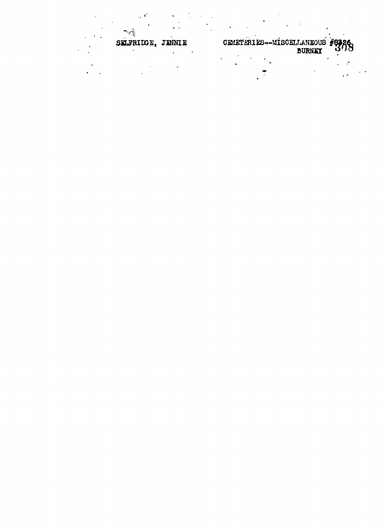CEMETERIES-MISCELLANEOUS #83 SELFRIDGE, JENNIE ¥.  $\ddot{\phantom{a}}$  $\overline{a}$ 

 $\mathbf{r}$ 

<mark>१६</mark>

J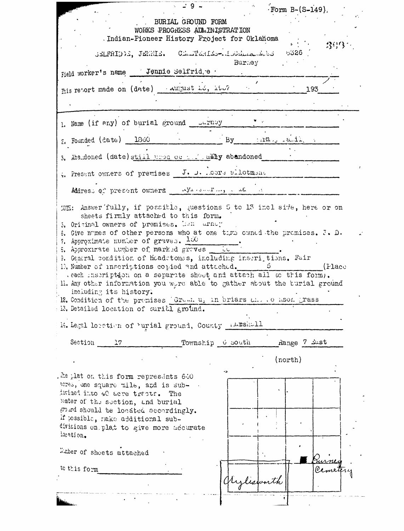|                                                                                                                                                                                                                                                                                                                                                                                                                                                                               | Form $B-(S-149)$ .                                      |
|-------------------------------------------------------------------------------------------------------------------------------------------------------------------------------------------------------------------------------------------------------------------------------------------------------------------------------------------------------------------------------------------------------------------------------------------------------------------------------|---------------------------------------------------------|
| BURIAL GROUND FORM<br>WORKS PROGRESS ADMINISTRATION<br>. Indian-Pioneer History Project for Oklahoma                                                                                                                                                                                                                                                                                                                                                                          | <b>"我们</b> "                                            |
| SELFRIDE, JENNIE. CELTERIES-ISOELLANSE 5326                                                                                                                                                                                                                                                                                                                                                                                                                                   | Burkey                                                  |
| Field worker's name Jennie Selfrid, e .                                                                                                                                                                                                                                                                                                                                                                                                                                       |                                                         |
|                                                                                                                                                                                                                                                                                                                                                                                                                                                                               | 193                                                     |
|                                                                                                                                                                                                                                                                                                                                                                                                                                                                               |                                                         |
| 1. Name (if any) of burial ground curney                                                                                                                                                                                                                                                                                                                                                                                                                                      |                                                         |
| $z_i$ Founded (date) 1300                                                                                                                                                                                                                                                                                                                                                                                                                                                     | $By$ $\lim_{x \to 0} x \lim_{x \to 0} x \lim_{x \to 0}$ |
| 3. Abandoned (date) still used oc the summy abandoned                                                                                                                                                                                                                                                                                                                                                                                                                         |                                                         |
| 4. Present owners of premises J. D. Ocre allotment                                                                                                                                                                                                                                                                                                                                                                                                                            |                                                         |
| Address of present owners wyllowship and a                                                                                                                                                                                                                                                                                                                                                                                                                                    |                                                         |
| 5. Original owners of premises. Lan urney<br>6. Give nomes of other persons who at one time caned the promises. J. D.                                                                                                                                                                                                                                                                                                                                                         |                                                         |
| . each inscription on a separate shoot and attach all to this form).<br>including its history.                                                                                                                                                                                                                                                                                                                                                                                |                                                         |
|                                                                                                                                                                                                                                                                                                                                                                                                                                                                               |                                                         |
| Section 17<br>Township o south                                                                                                                                                                                                                                                                                                                                                                                                                                                | Range 7 Ast                                             |
| 7. Approximate number of graves. $1\omega$<br>8. Approximate number of marked groves to<br>9. General condition of headstones, including inseriptions, Fair<br>1). Number of inscriptions copied and attached. 5 (Place<br>Il. Any other information you were able to gather about the burial ground<br>12. Condition of the premises Grum. u. in briars and to hson grass<br>13. Detailed location of curitl ground.<br>14. Legal location of 'urial ground, County Attshall | (north)                                                 |
| . The plat on this form represents $640$<br>acres, one square mile, and is sub-<br>dwined into 40 acre tracts. The<br>Menter of the section, and burial<br>grand should be located accordingly.<br>if possible, nake additional sub-<br>divisions on plat to give more adourate<br>location.                                                                                                                                                                                  |                                                         |
| water of sheets attached                                                                                                                                                                                                                                                                                                                                                                                                                                                      |                                                         |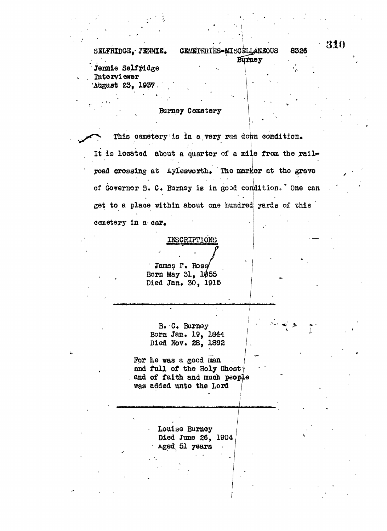CEMETRRIES-MISCRILLANEOUS SXLFRIDGE,- JBNNIK. **8326 raney** Jennie Selfridge

Interviewer •Atiguot 23, **1937**

## Bumey Cematery

This cemetery is in a very run down condition. It is located about a quarter of a mile from the railroad crossing at Aylesworth. The marker at the grave of Governor B. C. Burney is in good condition. One can get to a place within about one hundred yards oi this cemetery in a car.

## INSCRIPTIONS

James F. Rosa Born May  $31.1$ \$55 Died Jan. 30, 1915

B« C« Bumey Born Jan. 19, 1844 Died Nov. 28, 1892

For he was a good man and full of the Holy Ghost and of faith and much people was added unto the Lord

l.

Louise Bumey Died June 26, 1904 Aged. §1 years •

310

Ĩ.